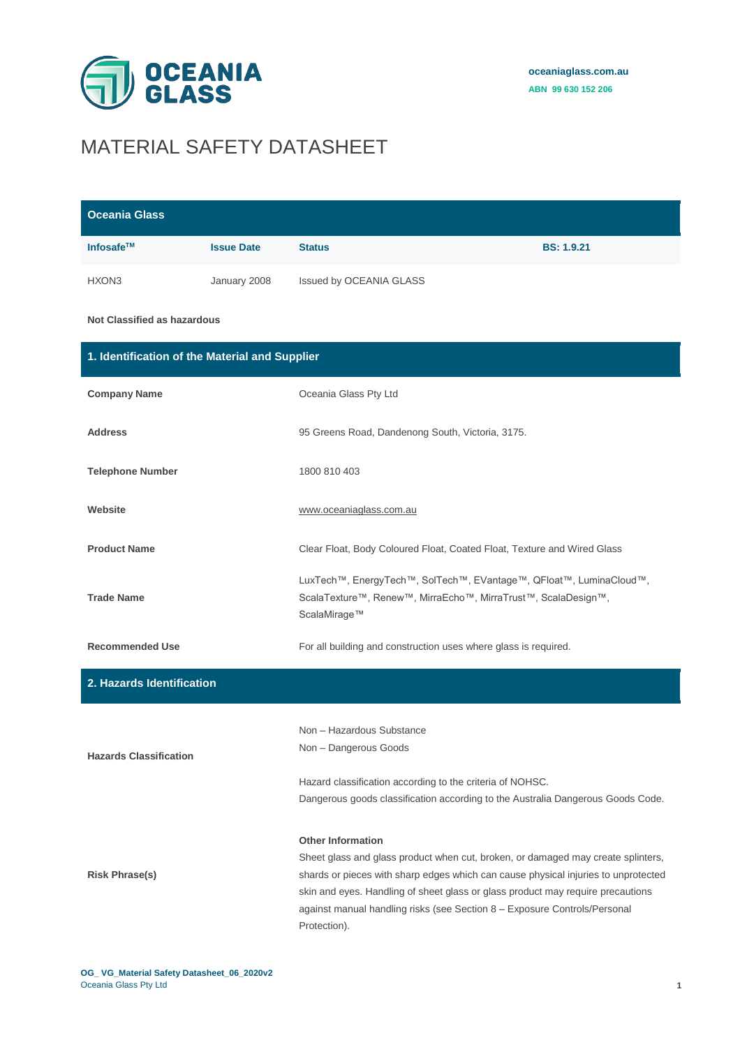

# MATERIAL SAFETY DATASHEET

| <b>Oceania Glass</b>                           |                   |                                                                                                                                                                                                    |                   |
|------------------------------------------------|-------------------|----------------------------------------------------------------------------------------------------------------------------------------------------------------------------------------------------|-------------------|
| Infosafe™                                      | <b>Issue Date</b> | <b>Status</b>                                                                                                                                                                                      | <b>BS: 1.9.21</b> |
| HXON3                                          | January 2008      | Issued by OCEANIA GLASS                                                                                                                                                                            |                   |
| <b>Not Classified as hazardous</b>             |                   |                                                                                                                                                                                                    |                   |
| 1. Identification of the Material and Supplier |                   |                                                                                                                                                                                                    |                   |
| <b>Company Name</b>                            |                   | Oceania Glass Pty Ltd                                                                                                                                                                              |                   |
| <b>Address</b>                                 |                   | 95 Greens Road, Dandenong South, Victoria, 3175.                                                                                                                                                   |                   |
| <b>Telephone Number</b>                        |                   | 1800 810 403                                                                                                                                                                                       |                   |
| Website                                        |                   | www.oceaniaglass.com.au                                                                                                                                                                            |                   |
| <b>Product Name</b>                            |                   | Clear Float, Body Coloured Float, Coated Float, Texture and Wired Glass                                                                                                                            |                   |
| <b>Trade Name</b>                              |                   | LuxTech™, EnergyTech™, SolTech™, EVantage™, QFloat™, LuminaCloud™,<br>ScalaTexture™, Renew™, MirraEcho™, MirraTrust™, ScalaDesign™,<br>ScalaMirage™                                                |                   |
| <b>Recommended Use</b>                         |                   | For all building and construction uses where glass is required.                                                                                                                                    |                   |
| 2. Hazards Identification                      |                   |                                                                                                                                                                                                    |                   |
| <b>Hazards Classification</b>                  |                   | Non - Hazardous Substance<br>Non - Dangerous Goods<br>Hazard classification according to the criteria of NOHSC.<br>Dangerous goods classification according to the Australia Dangerous Goods Code. |                   |

#### **Other Information**

Sheet glass and glass product when cut, broken, or damaged may create splinters, shards or pieces with sharp edges which can cause physical injuries to unprotected skin and eyes. Handling of sheet glass or glass product may require precautions against manual handling risks (see Section 8 – Exposure Controls/Personal Protection).

**Risk Phrase(s)**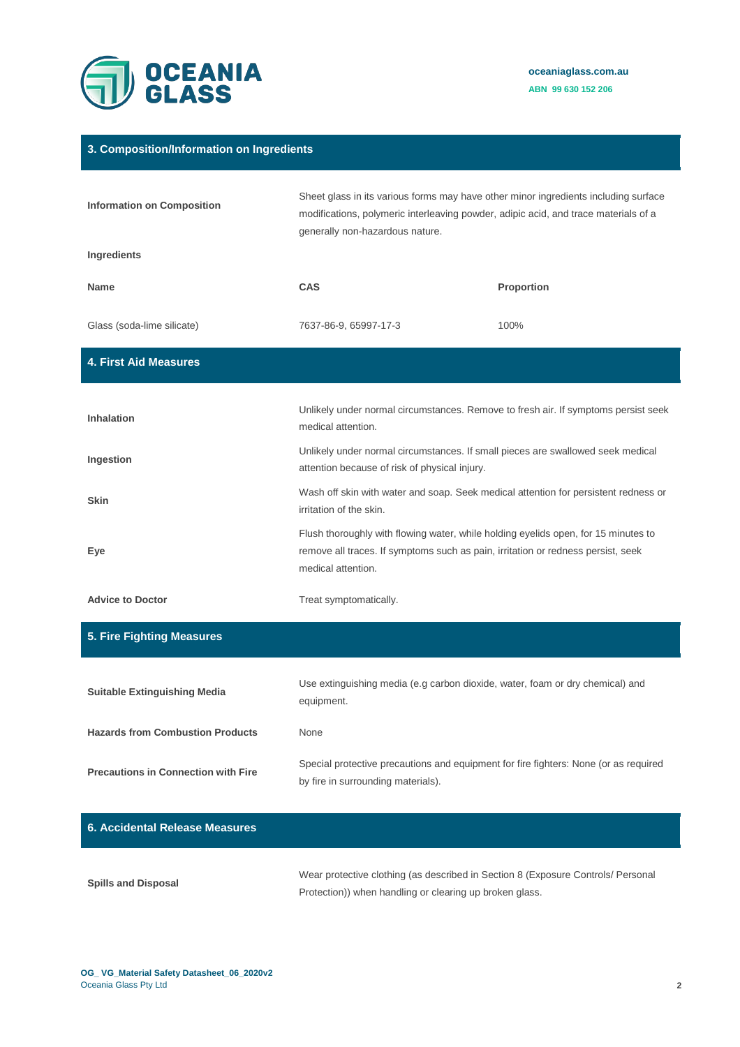

#### **3. Composition/Information on Ingredients**

| <b>Information on Composition</b>          | Sheet glass in its various forms may have other minor ingredients including surface<br>modifications, polymeric interleaving powder, adipic acid, and trace materials of a<br>generally non-hazardous nature. |            |
|--------------------------------------------|---------------------------------------------------------------------------------------------------------------------------------------------------------------------------------------------------------------|------------|
| Ingredients                                |                                                                                                                                                                                                               |            |
| <b>Name</b>                                | CAS                                                                                                                                                                                                           | Proportion |
| Glass (soda-lime silicate)                 | 7637-86-9, 65997-17-3                                                                                                                                                                                         | 100%       |
| <b>4. First Aid Measures</b>               |                                                                                                                                                                                                               |            |
| Inhalation                                 | Unlikely under normal circumstances. Remove to fresh air. If symptoms persist seek<br>medical attention.                                                                                                      |            |
| Ingestion                                  | Unlikely under normal circumstances. If small pieces are swallowed seek medical<br>attention because of risk of physical injury.                                                                              |            |
| <b>Skin</b>                                | Wash off skin with water and soap. Seek medical attention for persistent redness or<br>irritation of the skin.                                                                                                |            |
| Eye                                        | Flush thoroughly with flowing water, while holding eyelids open, for 15 minutes to<br>remove all traces. If symptoms such as pain, irritation or redness persist, seek<br>medical attention.                  |            |
| <b>Advice to Doctor</b>                    | Treat symptomatically.                                                                                                                                                                                        |            |
| 5. Fire Fighting Measures                  |                                                                                                                                                                                                               |            |
| <b>Suitable Extinguishing Media</b>        | Use extinguishing media (e.g carbon dioxide, water, foam or dry chemical) and<br>equipment.                                                                                                                   |            |
| <b>Hazards from Combustion Products</b>    | None                                                                                                                                                                                                          |            |
| <b>Precautions in Connection with Fire</b> | Special protective precautions and equipment for fire fighters: None (or as required<br>by fire in surrounding materials).                                                                                    |            |

## **6. Accidental Release Measures**

| <b>Spills and Disposal</b> | Wear protective clothing (as described in Section 8 (Exposure Controls/ Personal |
|----------------------------|----------------------------------------------------------------------------------|
|                            | Protection)) when handling or clearing up broken glass.                          |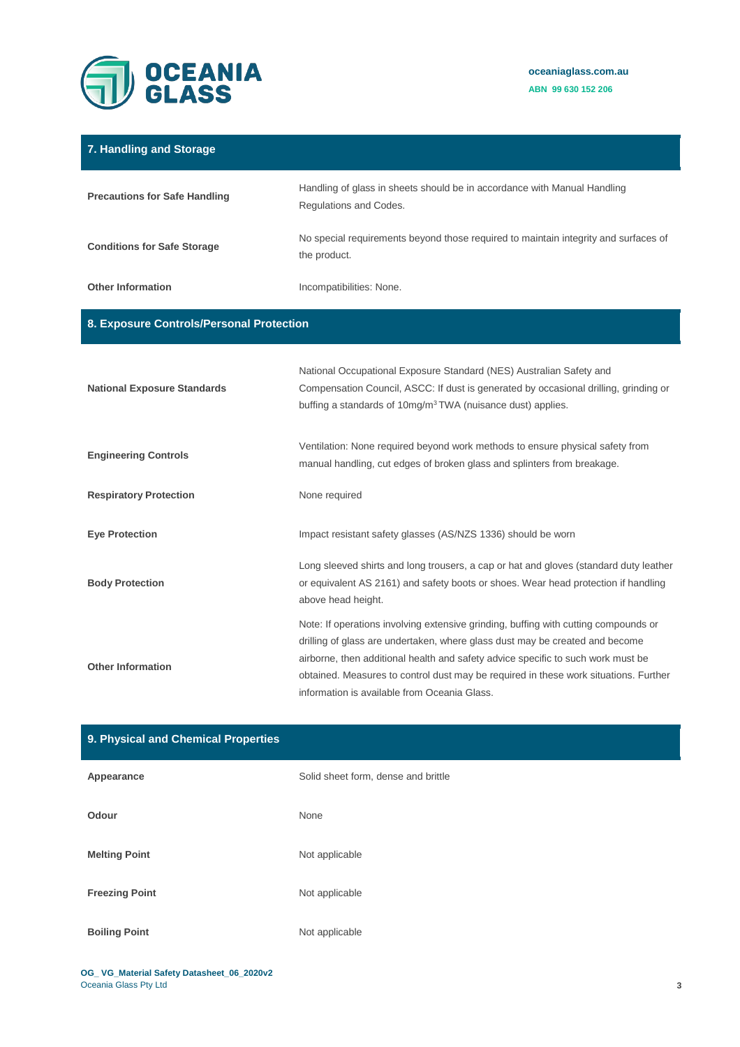

| 7. Handling and Storage                  |                                                                                                                                                                                                                                                                                                                                                                                                 |  |
|------------------------------------------|-------------------------------------------------------------------------------------------------------------------------------------------------------------------------------------------------------------------------------------------------------------------------------------------------------------------------------------------------------------------------------------------------|--|
| <b>Precautions for Safe Handling</b>     | Handling of glass in sheets should be in accordance with Manual Handling<br>Regulations and Codes.                                                                                                                                                                                                                                                                                              |  |
| <b>Conditions for Safe Storage</b>       | No special requirements beyond those required to maintain integrity and surfaces of<br>the product.                                                                                                                                                                                                                                                                                             |  |
| <b>Other Information</b>                 | Incompatibilities: None.                                                                                                                                                                                                                                                                                                                                                                        |  |
| 8. Exposure Controls/Personal Protection |                                                                                                                                                                                                                                                                                                                                                                                                 |  |
| <b>National Exposure Standards</b>       | National Occupational Exposure Standard (NES) Australian Safety and<br>Compensation Council, ASCC: If dust is generated by occasional drilling, grinding or<br>buffing a standards of 10mg/m <sup>3</sup> TWA (nuisance dust) applies.                                                                                                                                                          |  |
| <b>Engineering Controls</b>              | Ventilation: None required beyond work methods to ensure physical safety from<br>manual handling, cut edges of broken glass and splinters from breakage.                                                                                                                                                                                                                                        |  |
| <b>Respiratory Protection</b>            | None required                                                                                                                                                                                                                                                                                                                                                                                   |  |
| <b>Eye Protection</b>                    | Impact resistant safety glasses (AS/NZS 1336) should be worn                                                                                                                                                                                                                                                                                                                                    |  |
| <b>Body Protection</b>                   | Long sleeved shirts and long trousers, a cap or hat and gloves (standard duty leather<br>or equivalent AS 2161) and safety boots or shoes. Wear head protection if handling<br>above head height.                                                                                                                                                                                               |  |
| <b>Other Information</b>                 | Note: If operations involving extensive grinding, buffing with cutting compounds or<br>drilling of glass are undertaken, where glass dust may be created and become<br>airborne, then additional health and safety advice specific to such work must be<br>obtained. Measures to control dust may be required in these work situations. Further<br>information is available from Oceania Glass. |  |

| 9. Physical and Chemical Properties |                                     |
|-------------------------------------|-------------------------------------|
| Appearance                          | Solid sheet form, dense and brittle |
| Odour                               | None                                |
| <b>Melting Point</b>                | Not applicable                      |
| <b>Freezing Point</b>               | Not applicable                      |
| <b>Boiling Point</b>                | Not applicable                      |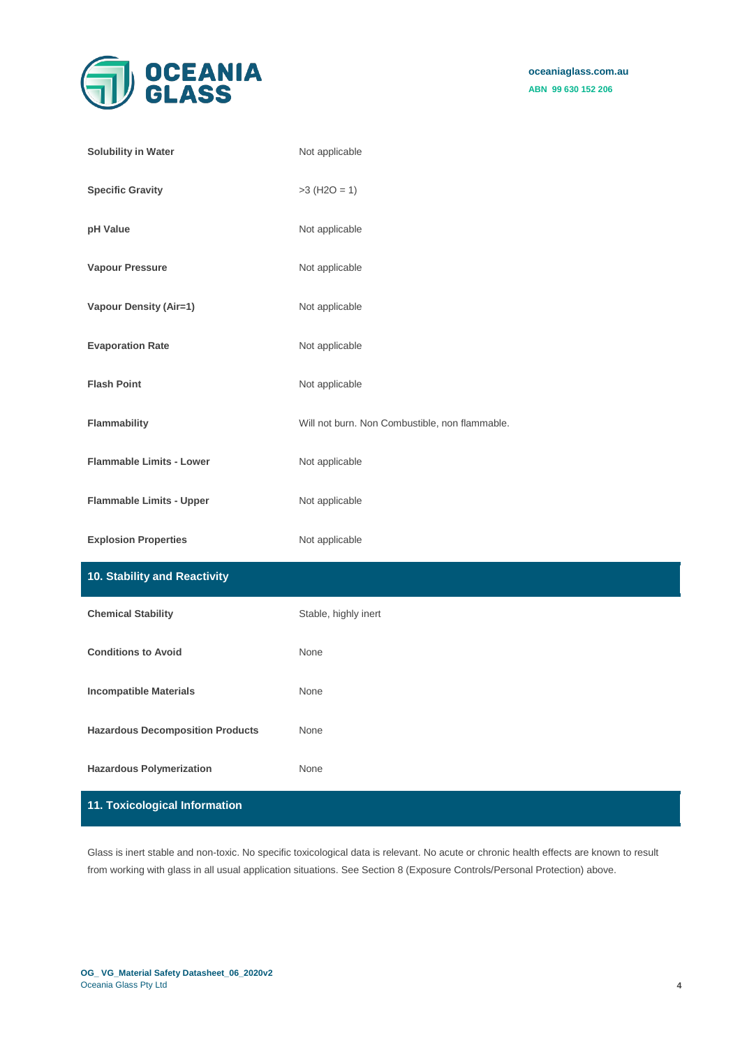

| <b>Solubility in Water</b>              | Not applicable                                 |
|-----------------------------------------|------------------------------------------------|
| <b>Specific Gravity</b>                 | $>3$ (H2O = 1)                                 |
| pH Value                                | Not applicable                                 |
| <b>Vapour Pressure</b>                  | Not applicable                                 |
| <b>Vapour Density (Air=1)</b>           | Not applicable                                 |
| <b>Evaporation Rate</b>                 | Not applicable                                 |
| <b>Flash Point</b>                      | Not applicable                                 |
| Flammability                            | Will not burn. Non Combustible, non flammable. |
| <b>Flammable Limits - Lower</b>         | Not applicable                                 |
| <b>Flammable Limits - Upper</b>         | Not applicable                                 |
| <b>Explosion Properties</b>             | Not applicable                                 |
| 10. Stability and Reactivity            |                                                |
| <b>Chemical Stability</b>               | Stable, highly inert                           |
| <b>Conditions to Avoid</b>              | None                                           |
| <b>Incompatible Materials</b>           | None                                           |
| <b>Hazardous Decomposition Products</b> | None                                           |
| <b>Hazardous Polymerization</b>         | None                                           |
| 11. Toxicological Information           |                                                |

Glass is inert stable and non-toxic. No specific toxicological data is relevant. No acute or chronic health effects are known to result from working with glass in all usual application situations. See Section 8 (Exposure Controls/Personal Protection) above.